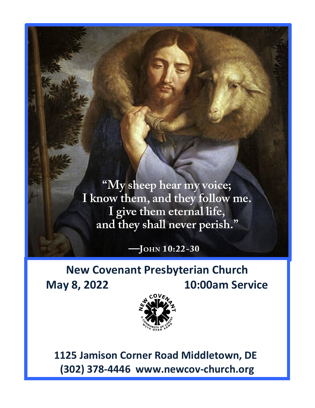"My sheep hear my voice; I know them, and they follow me. I give them eternal life, and they shall never perish."

 $-J$ OHN  $10:22-30$ 

# **New Covenant Presbyterian Church May 8, 2022 10:00am Service**



 **1125 Jamison Corner Road Middletown, DE (302) 378-4446 www.newcov-church.org**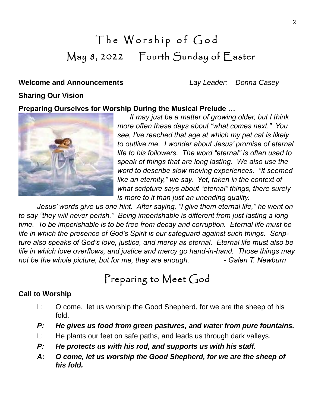# The Worship of God May 8, 2022 Fourth Sunday of Easter

# **Welcome and Announcements** *Lay Leader: Donna Casey*

# **Sharing Our Vision**

## **Preparing Ourselves for Worship During the Musical Prelude …**



*It may just be a matter of growing older, but I think more often these days about "what comes next." You see, I've reached that age at which my pet cat is likely to outlive me. I wonder about Jesus' promise of eternal life to his followers. The word "eternal" is often used to speak of things that are long lasting. We also use the word to describe slow moving experiences. "It seemed like an eternity," we say. Yet, taken in the context of what scripture says about "eternal" things, there surely is more to it than just an unending quality.*

*Jesus' words give us one hint. After saying, "I give them eternal life," he went on to say "they will never perish." Being imperishable is different from just lasting a long time. To be imperishable is to be free from decay and corruption. Eternal life must be life in which the presence of God's Spirit is our safeguard against such things. Scripture also speaks of God's love, justice, and mercy as eternal. Eternal life must also be life in which love overflows, and justice and mercy go hand-in-hand. Those things may not be the whole picture, but for me, they are enough. - Galen T. Newburn*

# Preparing to Meet God

# **Call to Worship**

- L: O come, let us worship the Good Shepherd, for we are the sheep of his fold.
- *P: He gives us food from green pastures, and water from pure fountains.*
- L: He plants our feet on safe paths, and leads us through dark valleys.
- *P: He protects us with his rod, and supports us with his staff.*
- *A: O come, let us worship the Good Shepherd, for we are the sheep of his fold.*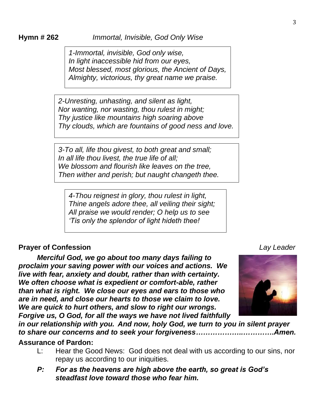*1-Immortal, invisible, God only wise, In light inaccessible hid from our eyes, Most blessed, most glorious, the Ancient of Days, Almighty, victorious, thy great name we praise.*

*2-Unresting, unhasting, and silent as light, Nor wanting, nor wasting, thou rulest in might; Thy justice like mountains high soaring above Thy clouds, which are fountains of good ness and love.*

*3-To all, life thou givest, to both great and small; In all life thou livest, the true life of all; We blossom and flourish like leaves on the tree, Then wither and perish; but naught changeth thee.*

*4-Thou reignest in glory, thou rulest in light, Thine angels adore thee, all veiling their sight; All praise we would render; O help us to see 'Tis only the splendor of light hideth thee!*

## **Prayer of Confession** *Lay Leader*

*Merciful God, we go about too many days failing to proclaim your saving power with our voices and actions. We live with fear, anxiety and doubt, rather than with certainty. We often choose what is expedient or comfort-able, rather than what is right. We close our eyes and ears to those who are in need, and close our hearts to those we claim to love. We are quick to hurt others, and slow to right our wrongs. Forgive us, O God, for all the ways we have not lived faithfully* 

*in our relationship with you.**And now, holy God, we turn to you in silent prayer to share our concerns and to seek your forgiveness………………..………….Amen.*

### **Assurance of Pardon:**

- L: Hear the Good News: God does not deal with us according to our sins, nor repay us according to our iniquities.
- *P: For as the heavens are high above the earth, so great is God's steadfast love toward those who fear him.*

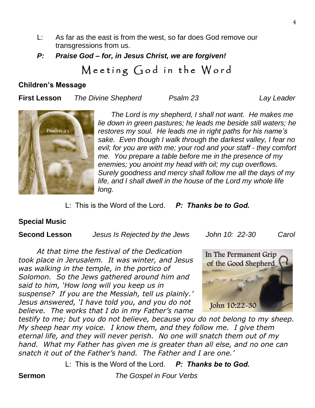- L: As far as the east is from the west, so far does God remove our transgressions from us.
- *P: Praise God – for, in Jesus Christ, we are forgiven!*

# Meeting God in the Word

### **Children's Message**

**First Lesson** *The Divine Shepherd Psalm 23 Lay Leader*



*The Lord is my shepherd, I shall not want. He makes me lie down in green pastures; he leads me beside still waters; he restores my soul. He leads me in right paths for his name's sake. Even though I walk through the darkest valley, I fear no evil; for you are with me; your rod and your staff - they comfort me. You prepare a table before me in the presence of my enemies; you anoint my head with oil; my cup overflows. Surely goodness and mercy shall follow me all the days of my life, and I shall dwell in the house of the Lord my whole life long.*

L: This is the Word of the Lord. *P: Thanks be to God.*

# **Special Music**

**Second Lesson** *Jesus Is Rejected by the Jews John 10: 22-30 Carol*

*At that time the festival of the Dedication took place in Jerusalem. It was winter, and Jesus was walking in the temple, in the portico of Solomon. So the Jews gathered around him and said to him, 'How long will you keep us in suspense? If you are the Messiah, tell us plainly.' Jesus answered, 'I have told you, and you do not believe. The works that I do in my Father's name* 



*testify to me; but you do not believe, because you do not belong to my sheep. My sheep hear my voice. I know them, and they follow me. I give them eternal life, and they will never perish. No one will snatch them out of my hand. What my Father has given me is greater than all else, and no one can snatch it out of the Father's hand. The Father and I are one.'*

L: This is the Word of the Lord. *P: Thanks be to God.*

**Sermon** *The Gospel in Four Verbs*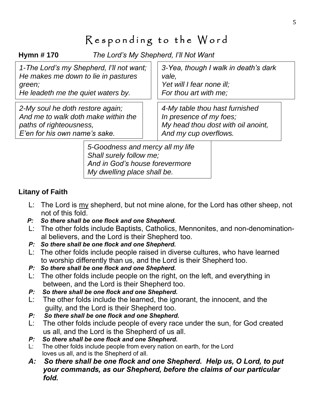# Responding to the Word

**Hymn # 170** *The Lord's My Shepherd, I'll Not Want*

| 1-The Lord's my Shepherd, I'll not want; | 3-Yea, though I walk in death's dark |
|------------------------------------------|--------------------------------------|
| He makes me down to lie in pastures      | vale,                                |
| green;                                   | Yet will I fear none ill;            |
| He leadeth me the quiet waters by.       | For thou art with me;                |
| 2-My soul he doth restore again;         | 4-My table thou hast furnished       |
| And me to walk doth make within the      | In presence of my foes;              |
| paths of righteousness,                  | My head thou dost with oil anoint,   |
| E'en for his own name's sake.            | And my cup overflows.                |

*5-Goodness and mercy all my life Shall surely follow me; And in God's house forevermore My dwelling place shall be.*

# **Litany of Faith**

- L: The Lord is my shepherd, but not mine alone, for the Lord has other sheep, not not of this fold.
- *P: So there shall be one flock and one Shepherd.*
- L: The other folds include Baptists, Catholics, Mennonites, and non-denomination al believers, and the Lord is their Shepherd too.
- *P: So there shall be one flock and one Shepherd.*
- L: The other folds include people raised in diverse cultures, who have learned to worship differently than us, and the Lord is their Shepherd too.
- *P: So there shall be one flock and one Shepherd.*
- L: The other folds include people on the right, on the left, and everything in between, and the Lord is their Shepherd too.
- *P: So there shall be one flock and one Shepherd.*
- L: The other folds include the learned, the ignorant, the innocent, and the guilty, and the Lord is their Shepherd too.
- *P: So there shall be one flock and one Shepherd.*
- L: The other folds include people of every race under the sun, for God created us all, and the Lord is the Shepherd of us all.
- *P: So there shall be one flock and one Shepherd.*
- L: The other folds include people from every nation on earth, for the Lord loves us all, and is the Shepherd of all.
- *A: So there shall be one flock and one Shepherd. Help us, O Lord, to put your commands, as our Shepherd, before the claims of our particular fold.*